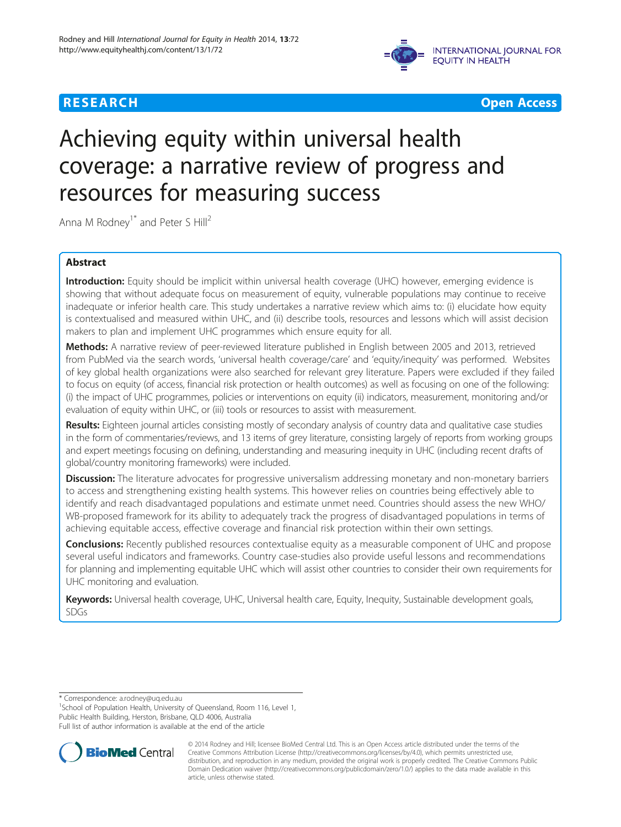

**RESEARCH CHE Open Access** 

# Achieving equity within universal health coverage: a narrative review of progress and resources for measuring success

Anna M Rodney<sup>1\*</sup> and Peter S Hill<sup>2</sup>

# Abstract

Introduction: Equity should be implicit within universal health coverage (UHC) however, emerging evidence is showing that without adequate focus on measurement of equity, vulnerable populations may continue to receive inadequate or inferior health care. This study undertakes a narrative review which aims to: (i) elucidate how equity is contextualised and measured within UHC, and (ii) describe tools, resources and lessons which will assist decision makers to plan and implement UHC programmes which ensure equity for all.

Methods: A narrative review of peer-reviewed literature published in English between 2005 and 2013, retrieved from PubMed via the search words, 'universal health coverage/care' and 'equity/inequity' was performed. Websites of key global health organizations were also searched for relevant grey literature. Papers were excluded if they failed to focus on equity (of access, financial risk protection or health outcomes) as well as focusing on one of the following: (i) the impact of UHC programmes, policies or interventions on equity (ii) indicators, measurement, monitoring and/or evaluation of equity within UHC, or (iii) tools or resources to assist with measurement.

Results: Eighteen journal articles consisting mostly of secondary analysis of country data and qualitative case studies in the form of commentaries/reviews, and 13 items of grey literature, consisting largely of reports from working groups and expert meetings focusing on defining, understanding and measuring inequity in UHC (including recent drafts of global/country monitoring frameworks) were included.

**Discussion:** The literature advocates for progressive universalism addressing monetary and non-monetary barriers to access and strengthening existing health systems. This however relies on countries being effectively able to identify and reach disadvantaged populations and estimate unmet need. Countries should assess the new WHO/ WB-proposed framework for its ability to adequately track the progress of disadvantaged populations in terms of achieving equitable access, effective coverage and financial risk protection within their own settings.

**Conclusions:** Recently published resources contextualise equity as a measurable component of UHC and propose several useful indicators and frameworks. Country case-studies also provide useful lessons and recommendations for planning and implementing equitable UHC which will assist other countries to consider their own requirements for UHC monitoring and evaluation.

Keywords: Universal health coverage, UHC, Universal health care, Equity, Inequity, Sustainable development goals, SDGs

\* Correspondence: [a.rodney@uq.edu.au](mailto:a.rodney@uq.edu.au) <sup>1</sup>

<sup>1</sup>School of Population Health, University of Queensland, Room 116, Level 1, Public Health Building, Herston, Brisbane, QLD 4006, Australia

Full list of author information is available at the end of the article



<sup>© 2014</sup> Rodney and Hill; licensee BioMed Central Ltd. This is an Open Access article distributed under the terms of the Creative Commons Attribution License (<http://creativecommons.org/licenses/by/4.0>), which permits unrestricted use, distribution, and reproduction in any medium, provided the original work is properly credited. The Creative Commons Public Domain Dedication waiver [\(http://creativecommons.org/publicdomain/zero/1.0/\)](http://creativecommons.org/publicdomain/zero/1.0/) applies to the data made available in this article, unless otherwise stated.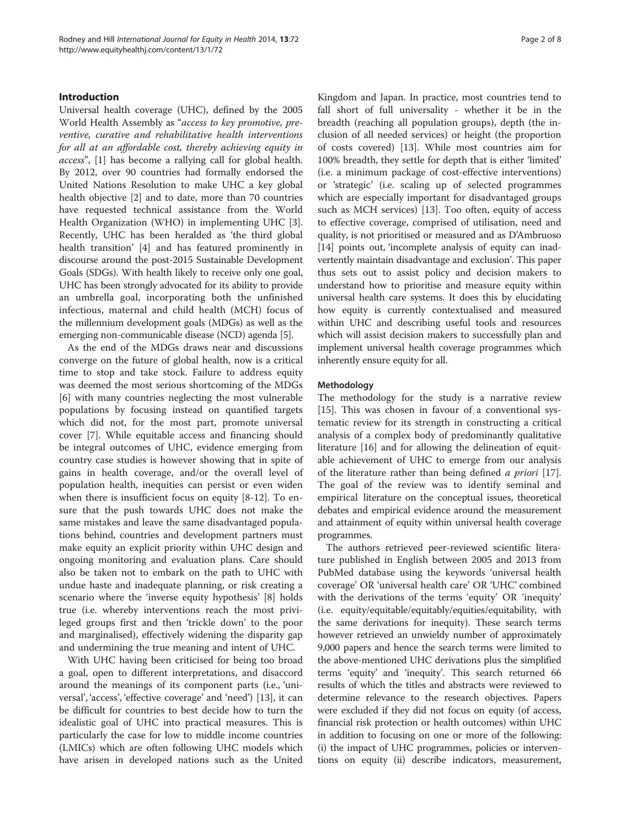# Introduction

Universal health coverage (UHC), defined by the 2005 World Health Assembly as "access to key promotive, preventive, curative and rehabilitative health interventions for all at an affordable cost, thereby achieving equity in access", [[1\]](#page-6-0) has become a rallying call for global health. By 2012, over 90 countries had formally endorsed the United Nations Resolution to make UHC a key global health objective [\[2](#page-6-0)] and to date, more than 70 countries have requested technical assistance from the World Health Organization (WHO) in implementing UHC [\[3](#page-6-0)]. Recently, UHC has been heralded as 'the third global health transition' [[4](#page-6-0)] and has featured prominently in discourse around the post-2015 Sustainable Development Goals (SDGs). With health likely to receive only one goal, UHC has been strongly advocated for its ability to provide an umbrella goal, incorporating both the unfinished infectious, maternal and child health (MCH) focus of the millennium development goals (MDGs) as well as the emerging non-communicable disease (NCD) agenda [[5](#page-6-0)].

As the end of the MDGs draws near and discussions converge on the future of global health, now is a critical time to stop and take stock. Failure to address equity was deemed the most serious shortcoming of the MDGs [[6\]](#page-6-0) with many countries neglecting the most vulnerable populations by focusing instead on quantified targets which did not, for the most part, promote universal cover [\[7](#page-6-0)]. While equitable access and financing should be integral outcomes of UHC, evidence emerging from country case studies is however showing that in spite of gains in health coverage, and/or the overall level of population health, inequities can persist or even widen when there is insufficient focus on equity [\[8](#page-6-0)-[12](#page-6-0)]. To ensure that the push towards UHC does not make the same mistakes and leave the same disadvantaged populations behind, countries and development partners must make equity an explicit priority within UHC design and ongoing monitoring and evaluation plans. Care should also be taken not to embark on the path to UHC with undue haste and inadequate planning, or risk creating a scenario where the 'inverse equity hypothesis' [\[8](#page-6-0)] holds true (i.e. whereby interventions reach the most privileged groups first and then 'trickle down' to the poor and marginalised), effectively widening the disparity gap and undermining the true meaning and intent of UHC.

With UHC having been criticised for being too broad a goal, open to different interpretations, and disaccord around the meanings of its component parts (i.e., 'universal', 'access', 'effective coverage' and 'need') [\[13\]](#page-6-0), it can be difficult for countries to best decide how to turn the idealistic goal of UHC into practical measures. This is particularly the case for low to middle income countries (LMICs) which are often following UHC models which have arisen in developed nations such as the United

Kingdom and Japan. In practice, most countries tend to fall short of full universality - whether it be in the breadth (reaching all population groups), depth (the inclusion of all needed services) or height (the proportion of costs covered) [\[13\]](#page-6-0). While most countries aim for 100% breadth, they settle for depth that is either 'limited' (i.e. a minimum package of cost-effective interventions) or 'strategic' (i.e. scaling up of selected programmes which are especially important for disadvantaged groups such as MCH services) [[13](#page-6-0)]. Too often, equity of access to effective coverage, comprised of utilisation, need and quality, is not prioritised or measured and as D'Ambruoso [[14](#page-6-0)] points out, 'incomplete analysis of equity can inadvertently maintain disadvantage and exclusion'. This paper thus sets out to assist policy and decision makers to understand how to prioritise and measure equity within universal health care systems. It does this by elucidating how equity is currently contextualised and measured within UHC and describing useful tools and resources which will assist decision makers to successfully plan and implement universal health coverage programmes which inherently ensure equity for all.

### Methodology

The methodology for the study is a narrative review [[15\]](#page-6-0). This was chosen in favour of a conventional systematic review for its strength in constructing a critical analysis of a complex body of predominantly qualitative literature [[16\]](#page-6-0) and for allowing the delineation of equitable achievement of UHC to emerge from our analysis of the literature rather than being defined a priori [\[17](#page-6-0)]. The goal of the review was to identify seminal and empirical literature on the conceptual issues, theoretical debates and empirical evidence around the measurement and attainment of equity within universal health coverage programmes.

The authors retrieved peer-reviewed scientific literature published in English between 2005 and 2013 from PubMed database using the keywords 'universal health coverage' OR 'universal health care' OR 'UHC' combined with the derivations of the terms 'equity' OR 'inequity' (i.e. equity/equitable/equitably/equities/equitability, with the same derivations for inequity). These search terms however retrieved an unwieldy number of approximately 9,000 papers and hence the search terms were limited to the above-mentioned UHC derivations plus the simplified terms 'equity' and 'inequity'. This search returned 66 results of which the titles and abstracts were reviewed to determine relevance to the research objectives. Papers were excluded if they did not focus on equity (of access, financial risk protection or health outcomes) within UHC in addition to focusing on one or more of the following: (i) the impact of UHC programmes, policies or interventions on equity (ii) describe indicators, measurement,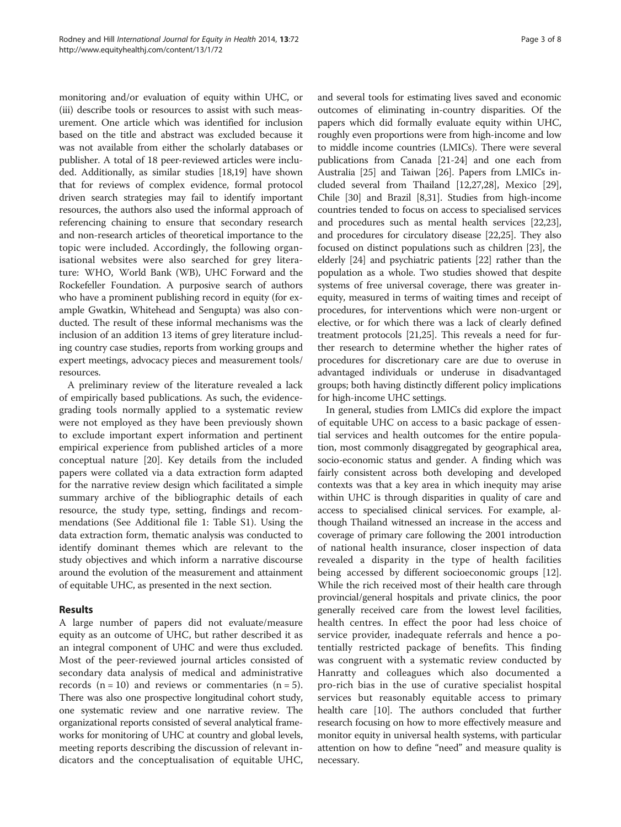monitoring and/or evaluation of equity within UHC, or (iii) describe tools or resources to assist with such measurement. One article which was identified for inclusion based on the title and abstract was excluded because it was not available from either the scholarly databases or publisher. A total of 18 peer-reviewed articles were included. Additionally, as similar studies [[18](#page-6-0),[19](#page-6-0)] have shown that for reviews of complex evidence, formal protocol driven search strategies may fail to identify important resources, the authors also used the informal approach of referencing chaining to ensure that secondary research and non-research articles of theoretical importance to the topic were included. Accordingly, the following organisational websites were also searched for grey literature: WHO, World Bank (WB), UHC Forward and the Rockefeller Foundation. A purposive search of authors who have a prominent publishing record in equity (for example Gwatkin, Whitehead and Sengupta) was also conducted. The result of these informal mechanisms was the inclusion of an addition 13 items of grey literature including country case studies, reports from working groups and expert meetings, advocacy pieces and measurement tools/ resources.

A preliminary review of the literature revealed a lack of empirically based publications. As such, the evidencegrading tools normally applied to a systematic review were not employed as they have been previously shown to exclude important expert information and pertinent empirical experience from published articles of a more conceptual nature [[20\]](#page-6-0). Key details from the included papers were collated via a data extraction form adapted for the narrative review design which facilitated a simple summary archive of the bibliographic details of each resource, the study type, setting, findings and recommendations (See Additional file [1](#page-5-0): Table S1). Using the data extraction form, thematic analysis was conducted to identify dominant themes which are relevant to the study objectives and which inform a narrative discourse around the evolution of the measurement and attainment of equitable UHC, as presented in the next section.

# Results

A large number of papers did not evaluate/measure equity as an outcome of UHC, but rather described it as an integral component of UHC and were thus excluded. Most of the peer-reviewed journal articles consisted of secondary data analysis of medical and administrative records  $(n = 10)$  and reviews or commentaries  $(n = 5)$ . There was also one prospective longitudinal cohort study, one systematic review and one narrative review. The organizational reports consisted of several analytical frameworks for monitoring of UHC at country and global levels, meeting reports describing the discussion of relevant indicators and the conceptualisation of equitable UHC,

and several tools for estimating lives saved and economic outcomes of eliminating in-country disparities. Of the papers which did formally evaluate equity within UHC, roughly even proportions were from high-income and low to middle income countries (LMICs). There were several publications from Canada [[21-24\]](#page-6-0) and one each from Australia [\[25\]](#page-6-0) and Taiwan [[26](#page-6-0)]. Papers from LMICs included several from Thailand [[12,27,28\]](#page-6-0), Mexico [[29](#page-6-0)], Chile [\[30\]](#page-6-0) and Brazil [[8,31](#page-6-0)]. Studies from high-income countries tended to focus on access to specialised services and procedures such as mental health services [\[22,23](#page-6-0)], and procedures for circulatory disease [[22,25\]](#page-6-0). They also focused on distinct populations such as children [[23](#page-6-0)], the elderly [\[24\]](#page-6-0) and psychiatric patients [\[22\]](#page-6-0) rather than the population as a whole. Two studies showed that despite systems of free universal coverage, there was greater inequity, measured in terms of waiting times and receipt of procedures, for interventions which were non-urgent or elective, or for which there was a lack of clearly defined treatment protocols [[21,25\]](#page-6-0). This reveals a need for further research to determine whether the higher rates of procedures for discretionary care are due to overuse in advantaged individuals or underuse in disadvantaged groups; both having distinctly different policy implications for high-income UHC settings.

In general, studies from LMICs did explore the impact of equitable UHC on access to a basic package of essential services and health outcomes for the entire population, most commonly disaggregated by geographical area, socio-economic status and gender. A finding which was fairly consistent across both developing and developed contexts was that a key area in which inequity may arise within UHC is through disparities in quality of care and access to specialised clinical services. For example, although Thailand witnessed an increase in the access and coverage of primary care following the 2001 introduction of national health insurance, closer inspection of data revealed a disparity in the type of health facilities being accessed by different socioeconomic groups [[12](#page-6-0)]. While the rich received most of their health care through provincial/general hospitals and private clinics, the poor generally received care from the lowest level facilities, health centres. In effect the poor had less choice of service provider, inadequate referrals and hence a potentially restricted package of benefits. This finding was congruent with a systematic review conducted by Hanratty and colleagues which also documented a pro-rich bias in the use of curative specialist hospital services but reasonably equitable access to primary health care [[10](#page-6-0)]. The authors concluded that further research focusing on how to more effectively measure and monitor equity in universal health systems, with particular attention on how to define "need" and measure quality is necessary.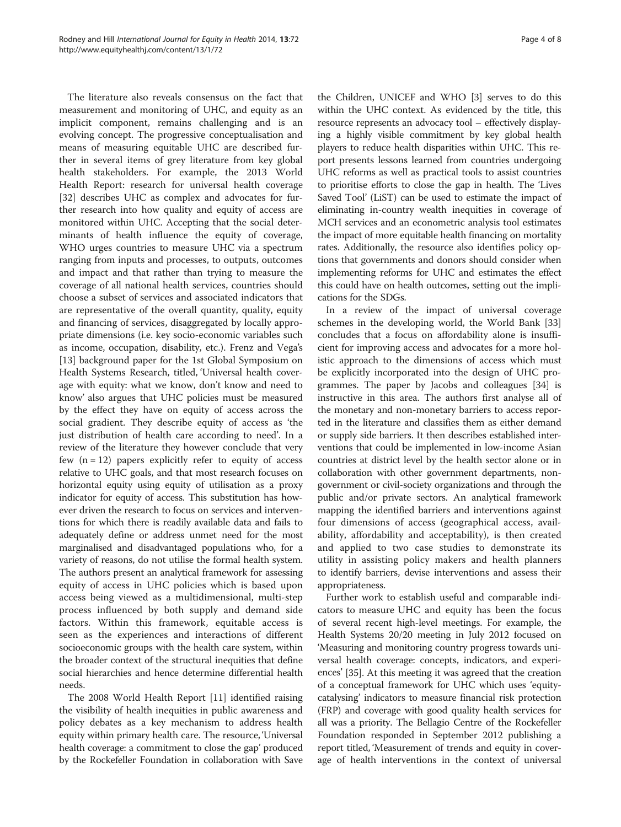The literature also reveals consensus on the fact that measurement and monitoring of UHC, and equity as an implicit component, remains challenging and is an evolving concept. The progressive conceptualisation and means of measuring equitable UHC are described further in several items of grey literature from key global health stakeholders. For example, the 2013 World Health Report: research for universal health coverage [[32\]](#page-6-0) describes UHC as complex and advocates for further research into how quality and equity of access are monitored within UHC. Accepting that the social determinants of health influence the equity of coverage, WHO urges countries to measure UHC via a spectrum ranging from inputs and processes, to outputs, outcomes and impact and that rather than trying to measure the coverage of all national health services, countries should choose a subset of services and associated indicators that are representative of the overall quantity, quality, equity and financing of services, disaggregated by locally appropriate dimensions (i.e. key socio-economic variables such as income, occupation, disability, etc.). Frenz and Vega's [[13\]](#page-6-0) background paper for the 1st Global Symposium on Health Systems Research, titled, 'Universal health coverage with equity: what we know, don't know and need to know' also argues that UHC policies must be measured by the effect they have on equity of access across the social gradient. They describe equity of access as 'the just distribution of health care according to need'. In a review of the literature they however conclude that very few  $(n = 12)$  papers explicitly refer to equity of access relative to UHC goals, and that most research focuses on horizontal equity using equity of utilisation as a proxy indicator for equity of access. This substitution has however driven the research to focus on services and interventions for which there is readily available data and fails to adequately define or address unmet need for the most marginalised and disadvantaged populations who, for a variety of reasons, do not utilise the formal health system. The authors present an analytical framework for assessing equity of access in UHC policies which is based upon access being viewed as a multidimensional, multi-step process influenced by both supply and demand side factors. Within this framework, equitable access is seen as the experiences and interactions of different socioeconomic groups with the health care system, within the broader context of the structural inequities that define social hierarchies and hence determine differential health needs.

The 2008 World Health Report [\[11](#page-6-0)] identified raising the visibility of health inequities in public awareness and policy debates as a key mechanism to address health equity within primary health care. The resource, 'Universal health coverage: a commitment to close the gap' produced by the Rockefeller Foundation in collaboration with Save

the Children, UNICEF and WHO [[3\]](#page-6-0) serves to do this within the UHC context. As evidenced by the title, this resource represents an advocacy tool – effectively displaying a highly visible commitment by key global health players to reduce health disparities within UHC. This report presents lessons learned from countries undergoing UHC reforms as well as practical tools to assist countries to prioritise efforts to close the gap in health. The 'Lives Saved Tool' (LiST) can be used to estimate the impact of eliminating in-country wealth inequities in coverage of MCH services and an econometric analysis tool estimates the impact of more equitable health financing on mortality rates. Additionally, the resource also identifies policy options that governments and donors should consider when implementing reforms for UHC and estimates the effect this could have on health outcomes, setting out the implications for the SDGs.

In a review of the impact of universal coverage schemes in the developing world, the World Bank [[33](#page-6-0)] concludes that a focus on affordability alone is insufficient for improving access and advocates for a more holistic approach to the dimensions of access which must be explicitly incorporated into the design of UHC programmes. The paper by Jacobs and colleagues [\[34\]](#page-6-0) is instructive in this area. The authors first analyse all of the monetary and non-monetary barriers to access reported in the literature and classifies them as either demand or supply side barriers. It then describes established interventions that could be implemented in low-income Asian countries at district level by the health sector alone or in collaboration with other government departments, nongovernment or civil-society organizations and through the public and/or private sectors. An analytical framework mapping the identified barriers and interventions against four dimensions of access (geographical access, availability, affordability and acceptability), is then created and applied to two case studies to demonstrate its utility in assisting policy makers and health planners to identify barriers, devise interventions and assess their appropriateness.

Further work to establish useful and comparable indicators to measure UHC and equity has been the focus of several recent high-level meetings. For example, the Health Systems 20/20 meeting in July 2012 focused on 'Measuring and monitoring country progress towards universal health coverage: concepts, indicators, and experiences' [\[35](#page-6-0)]. At this meeting it was agreed that the creation of a conceptual framework for UHC which uses 'equitycatalysing' indicators to measure financial risk protection (FRP) and coverage with good quality health services for all was a priority. The Bellagio Centre of the Rockefeller Foundation responded in September 2012 publishing a report titled, 'Measurement of trends and equity in coverage of health interventions in the context of universal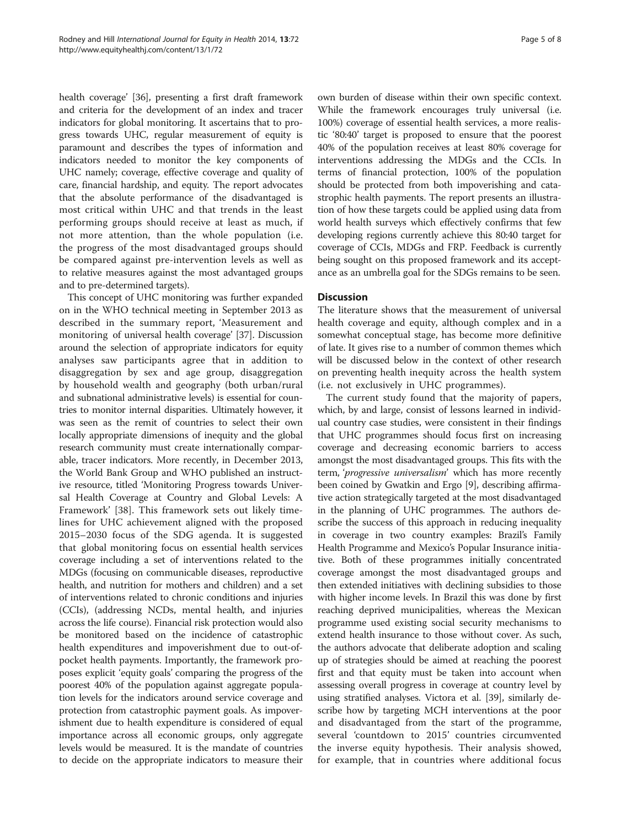health coverage' [[36\]](#page-6-0), presenting a first draft framework and criteria for the development of an index and tracer indicators for global monitoring. It ascertains that to progress towards UHC, regular measurement of equity is paramount and describes the types of information and indicators needed to monitor the key components of UHC namely; coverage, effective coverage and quality of care, financial hardship, and equity. The report advocates that the absolute performance of the disadvantaged is most critical within UHC and that trends in the least performing groups should receive at least as much, if not more attention, than the whole population (i.e. the progress of the most disadvantaged groups should be compared against pre-intervention levels as well as to relative measures against the most advantaged groups and to pre-determined targets).

This concept of UHC monitoring was further expanded on in the WHO technical meeting in September 2013 as described in the summary report, 'Measurement and monitoring of universal health coverage' [\[37](#page-6-0)]. Discussion around the selection of appropriate indicators for equity analyses saw participants agree that in addition to disaggregation by sex and age group, disaggregation by household wealth and geography (both urban/rural and subnational administrative levels) is essential for countries to monitor internal disparities. Ultimately however, it was seen as the remit of countries to select their own locally appropriate dimensions of inequity and the global research community must create internationally comparable, tracer indicators. More recently, in December 2013, the World Bank Group and WHO published an instructive resource, titled 'Monitoring Progress towards Universal Health Coverage at Country and Global Levels: A Framework' [\[38](#page-6-0)]. This framework sets out likely timelines for UHC achievement aligned with the proposed 2015–2030 focus of the SDG agenda. It is suggested that global monitoring focus on essential health services coverage including a set of interventions related to the MDGs (focusing on communicable diseases, reproductive health, and nutrition for mothers and children) and a set of interventions related to chronic conditions and injuries (CCIs), (addressing NCDs, mental health, and injuries across the life course). Financial risk protection would also be monitored based on the incidence of catastrophic health expenditures and impoverishment due to out-ofpocket health payments. Importantly, the framework proposes explicit 'equity goals' comparing the progress of the poorest 40% of the population against aggregate population levels for the indicators around service coverage and protection from catastrophic payment goals. As impoverishment due to health expenditure is considered of equal importance across all economic groups, only aggregate levels would be measured. It is the mandate of countries to decide on the appropriate indicators to measure their

own burden of disease within their own specific context. While the framework encourages truly universal (i.e. 100%) coverage of essential health services, a more realistic '80:40' target is proposed to ensure that the poorest 40% of the population receives at least 80% coverage for interventions addressing the MDGs and the CCIs. In terms of financial protection, 100% of the population should be protected from both impoverishing and catastrophic health payments. The report presents an illustration of how these targets could be applied using data from world health surveys which effectively confirms that few developing regions currently achieve this 80:40 target for coverage of CCIs, MDGs and FRP. Feedback is currently being sought on this proposed framework and its acceptance as an umbrella goal for the SDGs remains to be seen.

# **Discussion**

The literature shows that the measurement of universal health coverage and equity, although complex and in a somewhat conceptual stage, has become more definitive of late. It gives rise to a number of common themes which will be discussed below in the context of other research on preventing health inequity across the health system (i.e. not exclusively in UHC programmes).

The current study found that the majority of papers, which, by and large, consist of lessons learned in individual country case studies, were consistent in their findings that UHC programmes should focus first on increasing coverage and decreasing economic barriers to access amongst the most disadvantaged groups. This fits with the term, 'progressive universalism' which has more recently been coined by Gwatkin and Ergo [\[9](#page-6-0)], describing affirmative action strategically targeted at the most disadvantaged in the planning of UHC programmes. The authors describe the success of this approach in reducing inequality in coverage in two country examples: Brazil's Family Health Programme and Mexico's Popular Insurance initiative. Both of these programmes initially concentrated coverage amongst the most disadvantaged groups and then extended initiatives with declining subsidies to those with higher income levels. In Brazil this was done by first reaching deprived municipalities, whereas the Mexican programme used existing social security mechanisms to extend health insurance to those without cover. As such, the authors advocate that deliberate adoption and scaling up of strategies should be aimed at reaching the poorest first and that equity must be taken into account when assessing overall progress in coverage at country level by using stratified analyses. Victora et al. [[39](#page-6-0)], similarly describe how by targeting MCH interventions at the poor and disadvantaged from the start of the programme, several 'countdown to 2015' countries circumvented the inverse equity hypothesis. Their analysis showed, for example, that in countries where additional focus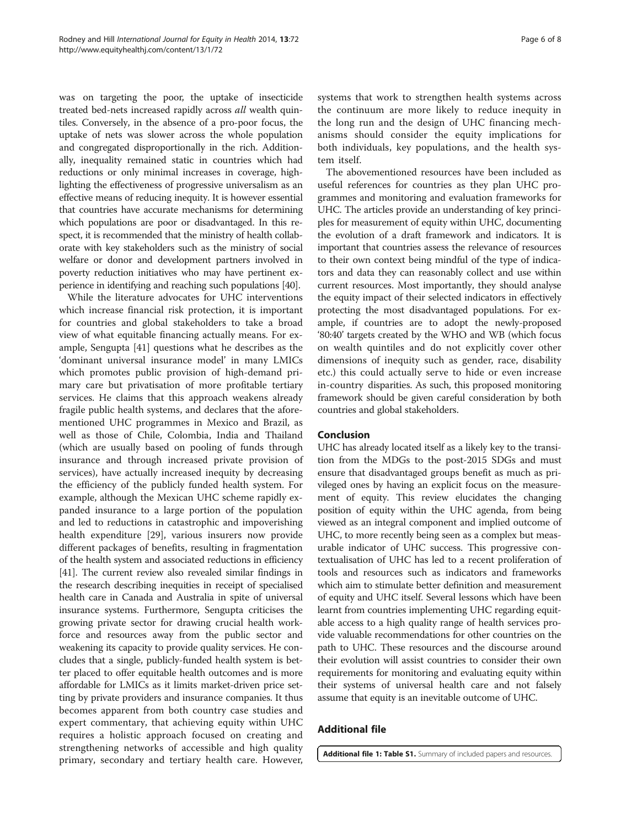<span id="page-5-0"></span>was on targeting the poor, the uptake of insecticide treated bed-nets increased rapidly across all wealth quintiles. Conversely, in the absence of a pro-poor focus, the uptake of nets was slower across the whole population and congregated disproportionally in the rich. Additionally, inequality remained static in countries which had reductions or only minimal increases in coverage, highlighting the effectiveness of progressive universalism as an effective means of reducing inequity. It is however essential that countries have accurate mechanisms for determining which populations are poor or disadvantaged. In this respect, it is recommended that the ministry of health collaborate with key stakeholders such as the ministry of social welfare or donor and development partners involved in

poverty reduction initiatives who may have pertinent ex-

perience in identifying and reaching such populations [\[40\]](#page-7-0). While the literature advocates for UHC interventions which increase financial risk protection, it is important for countries and global stakeholders to take a broad view of what equitable financing actually means. For example, Sengupta [[41\]](#page-7-0) questions what he describes as the 'dominant universal insurance model' in many LMICs which promotes public provision of high-demand primary care but privatisation of more profitable tertiary services. He claims that this approach weakens already fragile public health systems, and declares that the aforementioned UHC programmes in Mexico and Brazil, as well as those of Chile, Colombia, India and Thailand (which are usually based on pooling of funds through insurance and through increased private provision of services), have actually increased inequity by decreasing the efficiency of the publicly funded health system. For example, although the Mexican UHC scheme rapidly expanded insurance to a large portion of the population and led to reductions in catastrophic and impoverishing health expenditure [\[29\]](#page-6-0), various insurers now provide different packages of benefits, resulting in fragmentation of the health system and associated reductions in efficiency [[41](#page-7-0)]. The current review also revealed similar findings in the research describing inequities in receipt of specialised health care in Canada and Australia in spite of universal insurance systems. Furthermore, Sengupta criticises the growing private sector for drawing crucial health workforce and resources away from the public sector and weakening its capacity to provide quality services. He concludes that a single, publicly-funded health system is better placed to offer equitable health outcomes and is more affordable for LMICs as it limits market-driven price setting by private providers and insurance companies. It thus becomes apparent from both country case studies and expert commentary, that achieving equity within UHC requires a holistic approach focused on creating and strengthening networks of accessible and high quality primary, secondary and tertiary health care. However, systems that work to strengthen health systems across the continuum are more likely to reduce inequity in the long run and the design of UHC financing mechanisms should consider the equity implications for both individuals, key populations, and the health system itself.

The abovementioned resources have been included as useful references for countries as they plan UHC programmes and monitoring and evaluation frameworks for UHC. The articles provide an understanding of key principles for measurement of equity within UHC, documenting the evolution of a draft framework and indicators. It is important that countries assess the relevance of resources to their own context being mindful of the type of indicators and data they can reasonably collect and use within current resources. Most importantly, they should analyse the equity impact of their selected indicators in effectively protecting the most disadvantaged populations. For example, if countries are to adopt the newly-proposed '80:40' targets created by the WHO and WB (which focus on wealth quintiles and do not explicitly cover other dimensions of inequity such as gender, race, disability etc.) this could actually serve to hide or even increase in-country disparities. As such, this proposed monitoring framework should be given careful consideration by both countries and global stakeholders.

# Conclusion

UHC has already located itself as a likely key to the transition from the MDGs to the post-2015 SDGs and must ensure that disadvantaged groups benefit as much as privileged ones by having an explicit focus on the measurement of equity. This review elucidates the changing position of equity within the UHC agenda, from being viewed as an integral component and implied outcome of UHC, to more recently being seen as a complex but measurable indicator of UHC success. This progressive contextualisation of UHC has led to a recent proliferation of tools and resources such as indicators and frameworks which aim to stimulate better definition and measurement of equity and UHC itself. Several lessons which have been learnt from countries implementing UHC regarding equitable access to a high quality range of health services provide valuable recommendations for other countries on the path to UHC. These resources and the discourse around their evolution will assist countries to consider their own requirements for monitoring and evaluating equity within their systems of universal health care and not falsely assume that equity is an inevitable outcome of UHC.

# Additional file

[Additional file 1: Table S1.](http://www.equityhealthj.com/content/supplementary/s12939-014-0072-8-s1.docx) Summary of included papers and resources.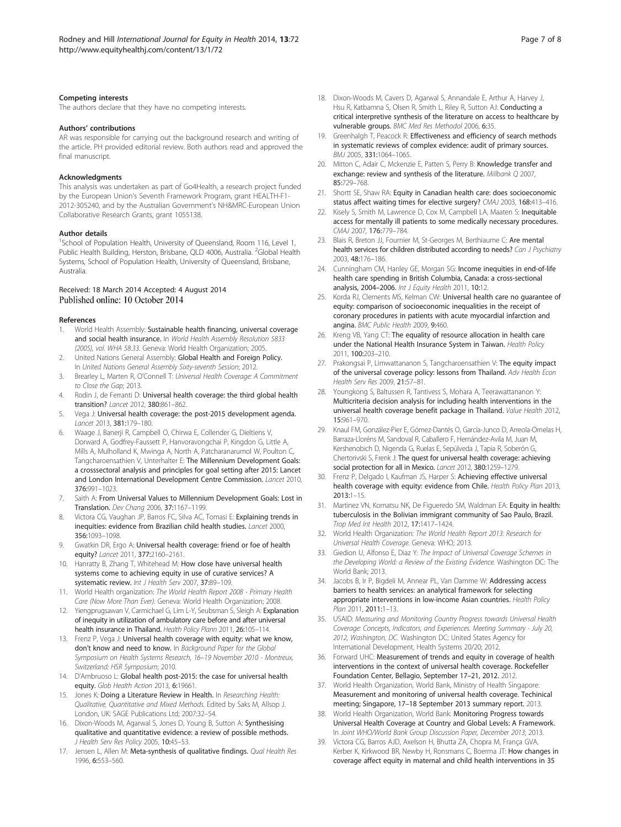#### <span id="page-6-0"></span>Competing interests

The authors declare that they have no competing interests.

#### Authors' contributions

AR was responsible for carrying out the background research and writing of the article. PH provided editorial review. Both authors read and approved the final manuscript.

#### **Acknowledaments**

This analysis was undertaken as part of Go4Health, a research project funded by the European Union's Seventh Framework Program, grant HEALTH-F1- 2012-305240, and by the Australian Government's NH&MRC-European Union Collaborative Research Grants, grant 1055138.

#### Author details

<sup>1</sup>School of Population Health, University of Queensland, Room 116, Level 1, Public Health Building, Herston, Brisbane, QLD 4006, Australia. <sup>2</sup>Global Health Systems, School of Population Health, University of Queensland, Brisbane, Australia.

#### Received: 18 March 2014 Accepted: 4 August 2014 Published online: 10 October 2014

#### References

- World Health Assembly: Sustainable health financing, universal coverage and social health insurance. In World Health Assembly Resolution 5833 (2005), vol. WHA 58.33. Geneva: World Health Organization; 2005.
- United Nations General Assembly: Global Health and Foreign Policy. In United Nations General Assembly Sixty-seventh Session; 2012.
- 3. Brearley L, Marten R, O'Connell T: Universal Health Coverage: A Commitment to Close the Gap; 2013.
- 4. Rodin J, de Ferranti D: Universal health coverage: the third global health transition? Lancet 2012, 380:861–862.
- Vega J: Universal health coverage: the post-2015 development agenda. Lancet 2013, 381:179–180.
- 6. Waage J, Banerji R, Campbell O, Chirwa E, Collender G, Dieltiens V, Dorward A, Godfrey-Faussett P, Hanvoravongchai P, Kingdon G, Little A, Mills A, Mulholland K, Mwinga A, North A, Patcharanarumol W, Poulton C, Tangcharoensathien V, Unterhalter E: The Millennium Development Goals: a crosssectoral analysis and principles for goal setting after 2015: Lancet and London International Development Centre Commission. Lancet 2010, 376:991–1023.
- 7. Saith A: From Universal Values to Millennium Development Goals: Lost in Translation. Dev Chang 2006, 37:1167–1199.
- Victora CG, Vaughan JP, Barros FC, Silva AC, Tomasi E: Explaining trends in inequities: evidence from Brazilian child health studies. Lancet 2000, 356:1093–1098.
- Gwatkin DR, Ergo A: Universal health coverage: friend or foe of health equity? Lancet 2011, 377:2160–2161.
- 10. Hanratty B, Zhang T, Whitehead M: How close have universal health systems come to achieving equity in use of curative services? A systematic review. Int J Health Serv 2007, 37:89–109.
- 11. World Health organization: The World Health Report 2008 Primary Health Care (Now More Than Ever). Geneva: World Health Organization; 2008.
- 12. Yiengprugsawan V, Carmichael G, Lim L-Y, Seubsman S, Sleigh A: Explanation of inequity in utilization of ambulatory care before and after universal health insurance in Thailand. Health Policy Plann 2011, 26:105–114.
- 13. Frenz P, Vega J: Universal health coverage with equity: what we know, don't know and need to know. In Background Paper for the Global Symposium on Health Systems Research, 16–19 November 2010 - Montreux, Switzerland: HSR Symposium; 2010.
- 14. D'Ambruoso L: Global health post-2015: the case for universal health equity. Glob Health Action 2013, 6:19661.
- 15. Jones K: Doing a Literature Review in Health. In Researching Health: Qualitative, Quantitative and Mixed Methods. Edited by Saks M, Allsop J. London, UK: SAGE Publications Ltd; 2007:32–54.
- 16. Dixon-Woods M, Agarwal S, Jones D, Young B, Sutton A: Synthesising qualitative and quantitative evidence: a review of possible methods. J Health Serv Res Policy 2005, 10:45–53.
- 17. Jensen L, Allen M: Meta-synthesis of qualitative findings. Qual Health Res 1996, 6:553–560.
- 18. Dixon-Woods M, Cavers D, Agarwal S, Annandale E, Arthur A, Harvey J, Hsu R, Katbamna S, Olsen R, Smith L, Riley R, Sutton AJ: Conducting a critical interpretive synthesis of the literature on access to healthcare by vulnerable groups. BMC Med Res Methodol 2006, 6:35.
- 19. Greenhalgh T, Peacock R: Effectiveness and efficiency of search methods in systematic reviews of complex evidence: audit of primary sources. BMJ 2005, 331:1064–1065.
- 20. Mitton C, Adair C, Mckenzie E, Patten S, Perry B: Knowledge transfer and exchange: review and synthesis of the literature. Millbank Q 2007, 85:729–768.
- 21. Shortt SE, Shaw RA: Equity in Canadian health care: does socioeconomic status affect waiting times for elective surgery? CMAJ 2003, 168:413–416.
- 22. Kisely S, Smith M, Lawrence D, Cox M, Campbell LA, Maaten S: Inequitable access for mentally ill patients to some medically necessary procedures. CMAJ 2007, 176:779–784.
- 23. Blais R, Breton JJ, Fournier M, St-Georges M, Berthiaume C: Are mental health services for children distributed according to needs? Can J Psychiatry 2003, 48:176–186.
- 24. Cunningham CM, Hanley GE, Morgan SG: Income inequities in end-of-life health care spending in British Columbia, Canada: a cross-sectional analysis, 2004-2006. Int J Equity Health 2011, 10:12.
- 25. Korda RJ, Clements MS, Kelman CW: Universal health care no guarantee of equity: comparison of socioeconomic inequalities in the receipt of coronary procedures in patients with acute myocardial infarction and angina. BMC Public Health 2009, 9:460.
- 26. Kreng VB, Yang CT: The equality of resource allocation in health care under the National Health Insurance System in Taiwan. Health Policy 2011, 100:203–210.
- 27. Prakongsai P, Limwattananon S, Tangcharoensathien V: The equity impact of the universal coverage policy: lessons from Thailand. Adv Health Econ Health Serv Res 2009, 21:57–81.
- 28. Youngkong S, Baltussen R, Tantivess S, Mohara A, Teerawattananon Y: Multicriteria decision analysis for including health interventions in the universal health coverage benefit package in Thailand. Value Health 2012, 15:961–970.
- 29. Knaul FM, González-Pier E, Gómez-Dantés O, García-Junco D, Arreola-Ornelas H, Barraza-Lloréns M, Sandoval R, Caballero F, Hernández-Avila M, Juan M, Kershenobich D, Nigenda G, Ruelas E, Sepúlveda J, Tapia R, Soberón G, Chertorivski S, Frenk J: The quest for universal health coverage: achieving social protection for all in Mexico. Lancet 2012, 380:1259–1279.
- 30. Frenz P, Delgado I, Kaufman JS, Harper S: Achieving effective universal health coverage with equity: evidence from Chile. Health Policy Plan 2013, 2013:1–15.
- 31. Martinez VN, Komatsu NK, De Figueredo SM, Waldman EA: Equity in health: tuberculosis in the Bolivian immigrant community of Sao Paulo, Brazil. Trop Med Int Health 2012, 17:1417–1424.
- 32. World Health Organization: The World Health Report 2013: Research for Universal Health Coverage. Geneva: WHO; 2013.
- 33. Giedion U, Alfonso E, Diaz Y: The Impact of Universal Coverage Schemes in the Developing World: a Review of the Existing Evidence. Washington DC: The World Bank; 2013.
- 34. Jacobs B, Ir P, Bigdeli M, Annear PL, Van Damme W: Addressing access barriers to health services: an analytical framework for selecting appropriate interventions in low-income Asian countries. Health Policy Plan 2011, 2011:1–13.
- 35. USAID: Measuring and Monitoring Country Progress towards Universal Health Coverage: Concepts, Indicators, and Experiences. Meeting Summary - July 20, 2012, Washington, DC. Washington DC: United States Agency for International Development, Health Systems 20/20; 2012.
- 36. Forward UHC: Measurement of trends and equity in coverage of health interventions in the context of universal health coverage. Rockefeller Foundation Center, Bellagio, September 17–21, 2012. 2012.
- 37. World Health Organization, World Bank, Ministry of Health Singapore: Measurement and monitoring of universal health coverage. Techinical meeting; Singapore, 17–18 September 2013 summary report. 2013.
- 38. World Health Organization, World Bank: Monitoring Progress towards Universal Health Coverage at Country and Global Levels: A Framework. In Joint WHO/World Bank Group Discussion Paper, December 2013; 2013.
- 39. Victora CG, Barros AJD, Axelson H, Bhutta ZA, Chopra M, França GVA, Kerber K, Kirkwood BR, Newby H, Ronsmans C, Boerma JT: How changes in coverage affect equity in maternal and child health interventions in 35